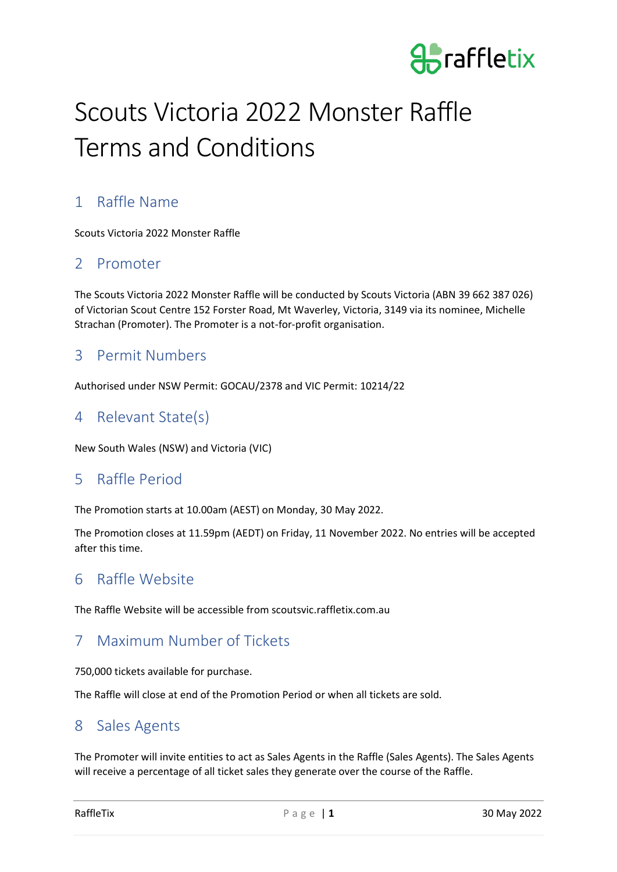

# Scouts Victoria 2022 Monster Raffle Terms and Conditions

# 1 Raffle Name

Scouts Victoria 2022 Monster Raffle

#### 2 Promoter

The Scouts Victoria 2022 Monster Raffle will be conducted by Scouts Victoria (ABN 39 662 387 026) of Victorian Scout Centre 152 Forster Road, Mt Waverley, Victoria, 3149 via its nominee, Michelle Strachan (Promoter). The Promoter is a not-for-profit organisation.

#### 3 Permit Numbers

Authorised under NSW Permit: GOCAU/2378 and VIC Permit: 10214/22

#### 4 Relevant State(s)

New South Wales (NSW) and Victoria (VIC)

#### 5 Raffle Period

The Promotion starts at 10.00am (AEST) on Monday, 30 May 2022.

The Promotion closes at 11.59pm (AEDT) on Friday, 11 November 2022. No entries will be accepted after this time.

#### 6 Raffle Website

The Raffle Website will be accessible from scoutsvic.raffletix.com.au

### 7 Maximum Number of Tickets

750,000 tickets available for purchase.

The Raffle will close at end of the Promotion Period or when all tickets are sold.

### 8 Sales Agents

The Promoter will invite entities to act as Sales Agents in the Raffle (Sales Agents). The Sales Agents will receive a percentage of all ticket sales they generate over the course of the Raffle.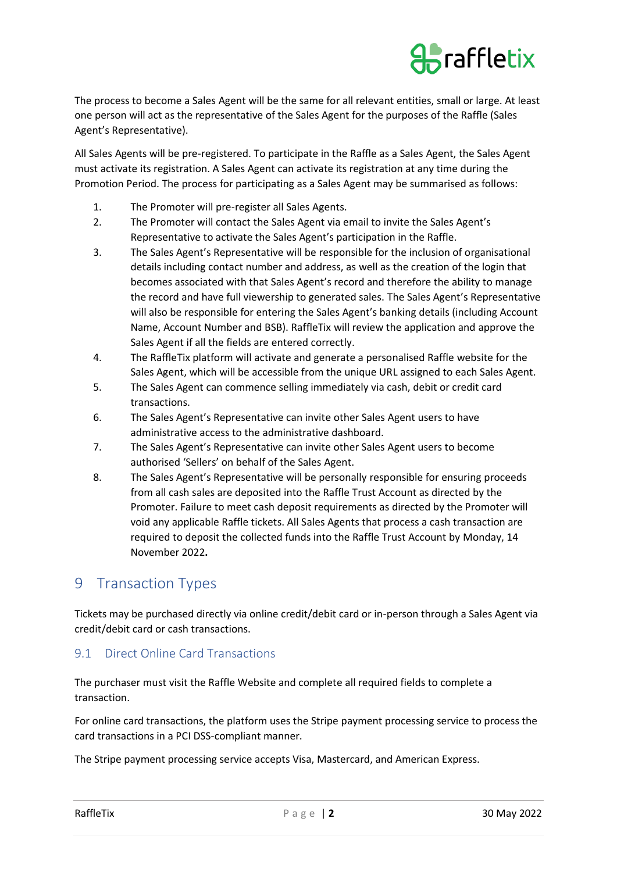

The process to become a Sales Agent will be the same for all relevant entities, small or large. At least one person will act as the representative of the Sales Agent for the purposes of the Raffle (Sales Agent's Representative).

All Sales Agents will be pre-registered. To participate in the Raffle as a Sales Agent, the Sales Agent must activate its registration. A Sales Agent can activate its registration at any time during the Promotion Period. The process for participating as a Sales Agent may be summarised as follows:

- 1. The Promoter will pre-register all Sales Agents.
- 2. The Promoter will contact the Sales Agent via email to invite the Sales Agent's Representative to activate the Sales Agent's participation in the Raffle.
- 3. The Sales Agent's Representative will be responsible for the inclusion of organisational details including contact number and address, as well as the creation of the login that becomes associated with that Sales Agent's record and therefore the ability to manage the record and have full viewership to generated sales. The Sales Agent's Representative will also be responsible for entering the Sales Agent's banking details (including Account Name, Account Number and BSB). RaffleTix will review the application and approve the Sales Agent if all the fields are entered correctly.
- 4. The RaffleTix platform will activate and generate a personalised Raffle website for the Sales Agent, which will be accessible from the unique URL assigned to each Sales Agent.
- 5. The Sales Agent can commence selling immediately via cash, debit or credit card transactions.
- 6. The Sales Agent's Representative can invite other Sales Agent users to have administrative access to the administrative dashboard.
- 7. The Sales Agent's Representative can invite other Sales Agent users to become authorised 'Sellers' on behalf of the Sales Agent.
- 8. The Sales Agent's Representative will be personally responsible for ensuring proceeds from all cash sales are deposited into the Raffle Trust Account as directed by the Promoter. Failure to meet cash deposit requirements as directed by the Promoter will void any applicable Raffle tickets. All Sales Agents that process a cash transaction are required to deposit the collected funds into the Raffle Trust Account by Monday, 14 November 2022**.**

#### 9 Transaction Types

Tickets may be purchased directly via online credit/debit card or in-person through a Sales Agent via credit/debit card or cash transactions.

#### 9.1 Direct Online Card Transactions

The purchaser must visit the Raffle Website and complete all required fields to complete a transaction.

For online card transactions, the platform uses the Stripe payment processing service to process the card transactions in a PCI DSS-compliant manner.

The Stripe payment processing service accepts Visa, Mastercard, and American Express.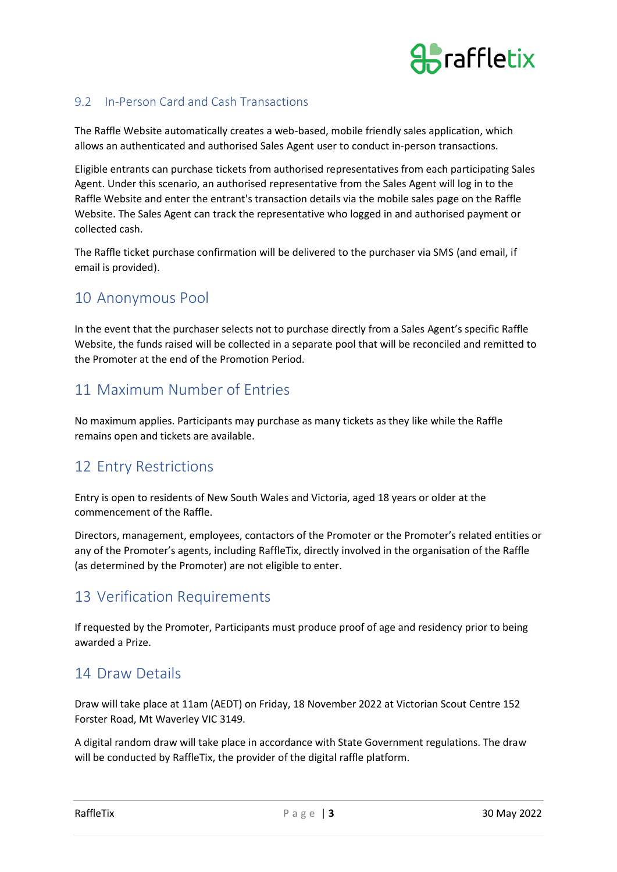

#### 9.2 In-Person Card and Cash Transactions

The Raffle Website automatically creates a web-based, mobile friendly sales application, which allows an authenticated and authorised Sales Agent user to conduct in-person transactions.

Eligible entrants can purchase tickets from authorised representatives from each participating Sales Agent. Under this scenario, an authorised representative from the Sales Agent will log in to the Raffle Website and enter the entrant's transaction details via the mobile sales page on the Raffle Website. The Sales Agent can track the representative who logged in and authorised payment or collected cash.

The Raffle ticket purchase confirmation will be delivered to the purchaser via SMS (and email, if email is provided).

#### 10 Anonymous Pool

In the event that the purchaser selects not to purchase directly from a Sales Agent's specific Raffle Website, the funds raised will be collected in a separate pool that will be reconciled and remitted to the Promoter at the end of the Promotion Period.

# 11 Maximum Number of Entries

No maximum applies. Participants may purchase as many tickets as they like while the Raffle remains open and tickets are available.

# 12 Entry Restrictions

Entry is open to residents of New South Wales and Victoria, aged 18 years or older at the commencement of the Raffle.

Directors, management, employees, contactors of the Promoter or the Promoter's related entities or any of the Promoter's agents, including RaffleTix, directly involved in the organisation of the Raffle (as determined by the Promoter) are not eligible to enter.

### 13 Verification Requirements

If requested by the Promoter, Participants must produce proof of age and residency prior to being awarded a Prize.

### 14 Draw Details

Draw will take place at 11am (AEDT) on Friday, 18 November 2022 at Victorian Scout Centre 152 Forster Road, Mt Waverley VIC 3149.

A digital random draw will take place in accordance with State Government regulations. The draw will be conducted by RaffleTix, the provider of the digital raffle platform.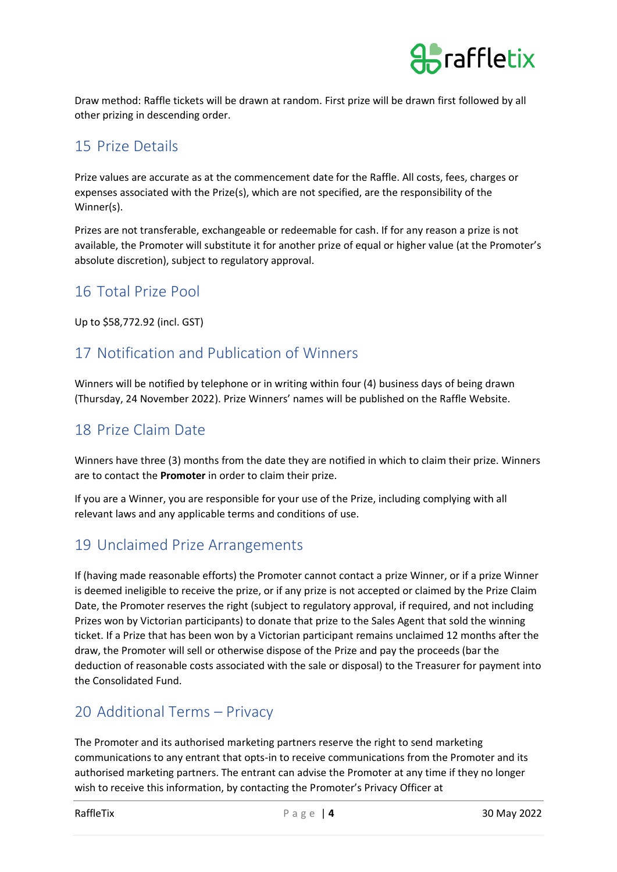

Draw method: Raffle tickets will be drawn at random. First prize will be drawn first followed by all other prizing in descending order.

### 15 Prize Details

Prize values are accurate as at the commencement date for the Raffle. All costs, fees, charges or expenses associated with the Prize(s), which are not specified, are the responsibility of the Winner(s).

Prizes are not transferable, exchangeable or redeemable for cash. If for any reason a prize is not available, the Promoter will substitute it for another prize of equal or higher value (at the Promoter's absolute discretion), subject to regulatory approval.

# 16 Total Prize Pool

Up to \$58,772.92 (incl. GST)

# 17 Notification and Publication of Winners

Winners will be notified by telephone or in writing within four (4) business days of being drawn (Thursday, 24 November 2022). Prize Winners' names will be published on the Raffle Website.

# 18 Prize Claim Date

Winners have three (3) months from the date they are notified in which to claim their prize. Winners are to contact the **Promoter** in order to claim their prize.

If you are a Winner, you are responsible for your use of the Prize, including complying with all relevant laws and any applicable terms and conditions of use.

# 19 Unclaimed Prize Arrangements

If (having made reasonable efforts) the Promoter cannot contact a prize Winner, or if a prize Winner is deemed ineligible to receive the prize, or if any prize is not accepted or claimed by the Prize Claim Date, the Promoter reserves the right (subject to regulatory approval, if required, and not including Prizes won by Victorian participants) to donate that prize to the Sales Agent that sold the winning ticket. If a Prize that has been won by a Victorian participant remains unclaimed 12 months after the draw, the Promoter will sell or otherwise dispose of the Prize and pay the proceeds (bar the deduction of reasonable costs associated with the sale or disposal) to the Treasurer for payment into the Consolidated Fund.

### 20 Additional Terms – Privacy

The Promoter and its authorised marketing partners reserve the right to send marketing communications to any entrant that opts-in to receive communications from the Promoter and its authorised marketing partners. The entrant can advise the Promoter at any time if they no longer wish to receive this information, by contacting the Promoter's Privacy Officer at